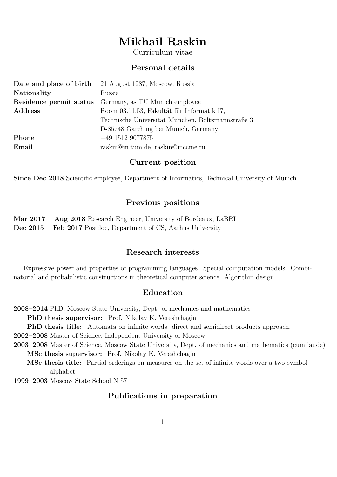# **Mikhail Raskin**

Curriculum vitae

# **Personal details**

|             | <b>Date and place of birth</b> 21 August 1987, Moscow, Russia |
|-------------|---------------------------------------------------------------|
| Nationality | Russia                                                        |
|             | <b>Residence permit status</b> Germany, as TU Munich employee |
| Address     | Room 03.11.53, Fakultät für Informatik I7,                    |
|             | Technische Universität München, Boltzmannstraße 3             |
|             | D-85748 Garching bei Munich, Germany                          |
| Phone       | $+49$ 1512 9077875                                            |
| Email       | raskin@in.tum.de, raskin@mccme.ru                             |
|             |                                                               |

#### **Current position**

**Since Dec 2018** Scientific employee, Department of Informatics, Technical University of Munich

# **Previous positions**

**Mar 2017 – Aug 2018** Research Engineer, University of Bordeaux, LaBRI **Dec 2015 – Feb 2017** Postdoc, Department of CS, Aarhus University

# **Research interests**

Expressive power and properties of programming languages. Special computation models. Combinatorial and probabilistic constructions in theoretical computer science. Algorithm design.

#### **Education**

**2008–2014** PhD, Moscow State University, Dept. of mechanics and mathematics **PhD thesis supervisor:** Prof. Nikolay K. Vereshchagin **PhD thesis title:** Automata on infinite words: direct and semidirect products approach. **2002–2008** Master of Science, Independent University of Moscow **2003–2008** Master of Science, Moscow State University, Dept. of mechanics and mathematics (cum laude) **MSc thesis supervisor:** Prof. Nikolay K. Vereshchagin **MSc thesis title:** Partial orderings on measures on the set of infinite words over a two-symbol alphabet

**1999–2003** Moscow State School N 57

## **Publications in preparation**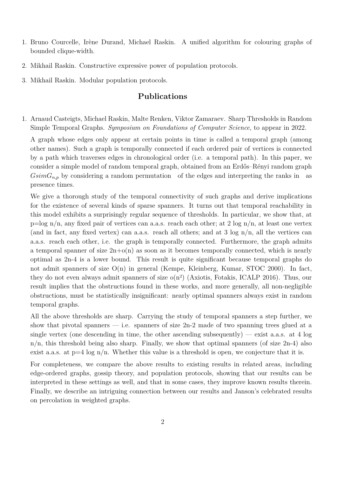- 1. Bruno Courcelle, Irène Durand, Michael Raskin. A unified algorithm for colouring graphs of bounded clique-width.
- 2. Mikhail Raskin. Constructive expressive power of population protocols.
- 3. Mikhail Raskin. Modular population protocols.

# **Publications**

1. Arnaud Casteigts, Michael Raskin, Malte Renken, Viktor Zamaraev. Sharp Thresholds in Random Simple Temporal Graphs. *Symposium on Foundations of Computer Science*, to appear in 2022.

A graph whose edges only appear at certain points in time is called a temporal graph (among other names). Such a graph is temporally connected if each ordered pair of vertices is connected by a path which traverses edges in chronological order (i.e. a temporal path). In this paper, we consider a simple model of random temporal graph, obtained from an Erdős–Rényi random graph  $GsimG_{n,p}$  by considering a random permutation of the edges and interpreting the ranks in as presence times.

We give a thorough study of the temporal connectivity of such graphs and derive implications for the existence of several kinds of sparse spanners. It turns out that temporal reachability in this model exhibits a surprisingly regular sequence of thresholds. In particular, we show that, at  $p=\log n/n$ , any fixed pair of vertices can a.a.s. reach each other; at 2 log  $n/n$ , at least one vertex (and in fact, any fixed vertex) can a.a.s. reach all others; and at 3 log  $n/n$ , all the vertices can a.a.s. reach each other, i.e. the graph is temporally connected. Furthermore, the graph admits a temporal spanner of size  $2n+o(n)$  as soon as it becomes temporally connected, which is nearly optimal as 2n-4 is a lower bound. This result is quite significant because temporal graphs do not admit spanners of size O(n) in general (Kempe, Kleinberg, Kumar, STOC 2000). In fact, they do not even always admit spanners of size  $o(n^2)$  (Axiotis, Fotakis, ICALP 2016). Thus, our result implies that the obstructions found in these works, and more generally, all non-negligible obstructions, must be statistically insignificant: nearly optimal spanners always exist in random temporal graphs.

All the above thresholds are sharp. Carrying the study of temporal spanners a step further, we show that pivotal spanners — i.e. spanners of size  $2n-2$  made of two spanning trees glued at a single vertex (one descending in time, the other ascending subsequently) — exist a.a.s. at 4 log n/n, this threshold being also sharp. Finally, we show that optimal spanners (of size 2n-4) also exist a.a.s. at  $p=4 \log n/n$ . Whether this value is a threshold is open, we conjecture that it is.

For completeness, we compare the above results to existing results in related areas, including edge-ordered graphs, gossip theory, and population protocols, showing that our results can be interpreted in these settings as well, and that in some cases, they improve known results therein. Finally, we describe an intriguing connection between our results and Janson's celebrated results on percolation in weighted graphs.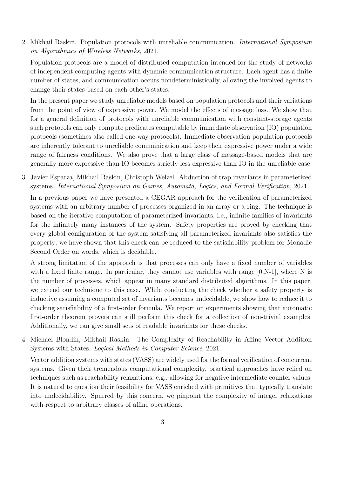2. Mikhail Raskin. Population protocols with unreliable communication. *International Symposium on Algorithmics of Wireless Networks*, 2021.

Population protocols are a model of distributed computation intended for the study of networks of independent computing agents with dynamic communication structure. Each agent has a finite number of states, and communication occurs nondeterministically, allowing the involved agents to change their states based on each other's states.

In the present paper we study unreliable models based on population protocols and their variations from the point of view of expressive power. We model the effects of message loss. We show that for a general definition of protocols with unreliable communication with constant-storage agents such protocols can only compute predicates computable by immediate observation (IO) population protocols (sometimes also called one-way protocols). Immediate observation population protocols are inherently tolerant to unreliable communication and keep their expressive power under a wide range of fairness conditions. We also prove that a large class of message-based models that are generally more expressive than IO becomes strictly less expressive than IO in the unreliable case.

3. Javier Esparza, Mikhail Raskin, Christoph Welzel. Abduction of trap invariants in parameterized systems. *International Symposium on Games, Automata, Logics, and Formal Verification*, 2021.

In a previous paper we have presented a CEGAR approach for the verification of parameterized systems with an arbitrary number of processes organized in an array or a ring. The technique is based on the iterative computation of parameterized invariants, i.e., infinite families of invariants for the infinitely many instances of the system. Safety properties are proved by checking that every global configuration of the system satisfying all parameterized invariants also satisfies the property; we have shown that this check can be reduced to the satisfiability problem for Monadic Second Order on words, which is decidable.

A strong limitation of the approach is that processes can only have a fixed number of variables with a fixed finite range. In particular, they cannot use variables with range  $[0,N-1]$ , where N is the number of processes, which appear in many standard distributed algorithms. In this paper, we extend our technique to this case. While conducting the check whether a safety property is inductive assuming a computed set of invariants becomes undecidable, we show how to reduce it to checking satisfiability of a first-order formula. We report on experiments showing that automatic first-order theorem provers can still perform this check for a collection of non-trivial examples. Additionally, we can give small sets of readable invariants for these checks.

4. Michael Blondin, Mikhail Raskin. The Complexity of Reachability in Affine Vector Addition Systems with States. *Logical Methods in Computer Science*, 2021.

Vector addition systems with states (VASS) are widely used for the formal verification of concurrent systems. Given their tremendous computational complexity, practical approaches have relied on techniques such as reachability relaxations, e.g., allowing for negative intermediate counter values. It is natural to question their feasibility for VASS enriched with primitives that typically translate into undecidability. Spurred by this concern, we pinpoint the complexity of integer relaxations with respect to arbitrary classes of affine operations.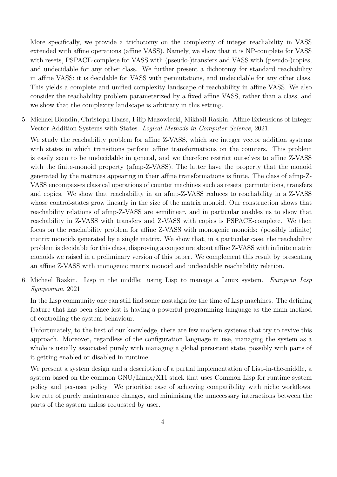More specifically, we provide a trichotomy on the complexity of integer reachability in VASS extended with affine operations (affine VASS). Namely, we show that it is NP-complete for VASS with resets, PSPACE-complete for VASS with (pseudo-)transfers and VASS with (pseudo-)copies, and undecidable for any other class. We further present a dichotomy for standard reachability in affine VASS: it is decidable for VASS with permutations, and undecidable for any other class. This yields a complete and unified complexity landscape of reachability in affine VASS. We also consider the reachability problem parameterized by a fixed affine VASS, rather than a class, and we show that the complexity landscape is arbitrary in this setting.

5. Michael Blondin, Christoph Haase, Filip Mazowiecki, Mikhail Raskin. Affine Extensions of Integer Vector Addition Systems with States. *Logical Methods in Computer Science*, 2021.

We study the reachability problem for affine  $Z$ -VASS, which are integer vector addition systems with states in which transitions perform affine transformations on the counters. This problem is easily seen to be undecidable in general, and we therefore restrict ourselves to affine Z-VASS with the finite-monoid property (afmp-Z-VASS). The latter have the property that the monoid generated by the matrices appearing in their affine transformations is finite. The class of afmp-Z-VASS encompasses classical operations of counter machines such as resets, permutations, transfers and copies. We show that reachability in an afmp-Z-VASS reduces to reachability in a Z-VASS whose control-states grow linearly in the size of the matrix monoid. Our construction shows that reachability relations of afmp-Z-VASS are semilinear, and in particular enables us to show that reachability in Z-VASS with transfers and Z-VASS with copies is PSPACE-complete. We then focus on the reachability problem for affine Z-VASS with monogenic monoids: (possibly infinite) matrix monoids generated by a single matrix. We show that, in a particular case, the reachability problem is decidable for this class, disproving a conjecture about affine Z-VASS with infinite matrix monoids we raised in a preliminary version of this paper. We complement this result by presenting an affine Z-VASS with monogenic matrix monoid and undecidable reachability relation.

6. Michael Raskin. Lisp in the middle: using Lisp to manage a Linux system. *European Lisp Symposium*, 2021.

In the Lisp community one can still find some nostalgia for the time of Lisp machines. The defining feature that has been since lost is having a powerful programming language as the main method of controlling the system behaviour.

Unfortunately, to the best of our knowledge, there are few modern systems that try to revive this approach. Moreover, regardless of the configuration language in use, managing the system as a whole is usually associated purely with managing a global persistent state, possibly with parts of it getting enabled or disabled in runtime.

We present a system design and a description of a partial implementation of Lisp-in-the-middle, a system based on the common GNU/Linux/X11 stack that uses Common Lisp for runtime system policy and per-user policy. We prioritise ease of achieving compatibility with niche workflows, low rate of purely maintenance changes, and minimising the unnecessary interactions between the parts of the system unless requested by user.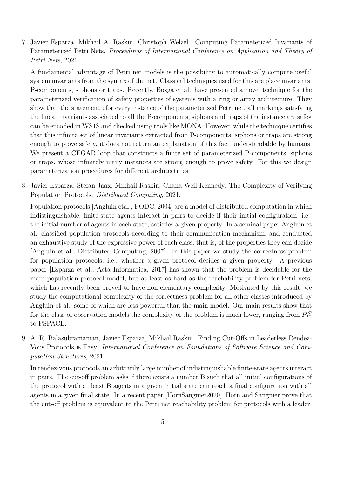7. Javier Esparza, Mikhail A. Raskin, Christoph Welzel. Computing Parameterized Invariants of Parameterized Petri Nets. *Proceedings of International Conference on Application and Theory of Petri Nets*, 2021.

A fundamental advantage of Petri net models is the possibility to automatically compute useful system invariants from the syntax of the net. Classical techniques used for this are place invariants, P-components, siphons or traps. Recently, Bozga et al. have presented a novel technique for the parameterized verification of safety properties of systems with a ring or array architecture. They show that the statement «for every instance of the parameterized Petri net, all markings satisfying the linear invariants associated to all the P-components, siphons and traps of the instance are safe» can be encoded in WS1S and checked using tools like MONA. However, while the technique certifies that this infinite set of linear invariants extracted from P-components, siphons or traps are strong enough to prove safety, it does not return an explanation of this fact understandable by humans. We present a CEGAR loop that constructs a finite set of parameterized P-components, siphons or traps, whose infinitely many instances are strong enough to prove safety. For this we design parameterization procedures for different architectures.

8. Javier Esparza, Stefan Jaax, Mikhail Raskin, Chana Weil-Kennedy. The Complexity of Verifying Population Protocols. *Distributed Computing*, 2021.

Population protocols [Angluin etal., PODC, 2004] are a model of distributed computation in which indistinguishable, finite-state agents interact in pairs to decide if their initial configuration, i.e., the initial number of agents in each state, satisfies a given property. In a seminal paper Angluin et al. classified population protocols according to their communication mechanism, and conducted an exhaustive study of the expressive power of each class, that is, of the properties they can decide [Angluin et al., Distributed Computing, 2007]. In this paper we study the correctness problem for population protocols, i.e., whether a given protocol decides a given property. A previous paper [Esparza et al., Acta Informatica, 2017] has shown that the problem is decidable for the main population protocol model, but at least as hard as the reachability problem for Petri nets, which has recently been proved to have non-elementary complexity. Motivated by this result, we study the computational complexity of the correctness problem for all other classes introduced by Angluin et al., some of which are less powerful than the main model. Our main results show that for the class of observation models the complexity of the problem is much lower, ranging from  $Pi_2^{\dagger}$ to PSPACE.

9. A. R. Balasubramanian, Javier Esparza, Mikhail Raskin. Finding Cut-Offs in Leaderless Rendez-Vous Protocols is Easy. *International Conference on Foundations of Software Science and Computation Structures*, 2021.

In rendez-vous protocols an arbitrarily large number of indistinguishable finite-state agents interact in pairs. The cut-off problem asks if there exists a number B such that all initial configurations of the protocol with at least B agents in a given initial state can reach a final configuration with all agents in a given final state. In a recent paper [HornSangnier2020], Horn and Sangnier prove that the cut-off problem is equivalent to the Petri net reachability problem for protocols with a leader,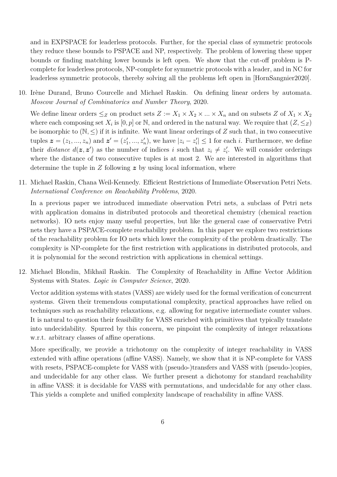and in EXPSPACE for leaderless protocols. Further, for the special class of symmetric protocols they reduce these bounds to PSPACE and NP, respectively. The problem of lowering these upper bounds or finding matching lower bounds is left open. We show that the cut-off problem is Pcomplete for leaderless protocols, NP-complete for symmetric protocols with a leader, and in NC for leaderless symmetric protocols, thereby solving all the problems left open in [HornSangnier2020].

10. Irène Durand, Bruno Courcelle and Michael Raskin. On defining linear orders by automata. *Moscow Journal of Combinatorics and Number Theory*, 2020.

We define linear orders  $\leq_Z$  on product sets  $Z := X_1 \times X_2 \times ... \times X_n$  and on subsets Z of  $X_1 \times X_2$ where each composing set  $X_i$  is  $[0, p]$  or  $\mathbb{N}$ , and ordered in the natural way. We require that  $(Z, \leq_Z)$ be isomorphic to  $(N, \leq)$  if it is infinite. We want linear orderings of Z such that, in two consecutive tuples  $\boldsymbol{z} = (z_1, ..., z_n)$  and  $\boldsymbol{z}' = (z'_1, ..., z'_n)$ , we have  $|z_i - z'_i| \leq 1$  for each *i*. Furthermore, we define their *distance*  $d(z, z')$  as the number of indices *i* such that  $z_i \neq z'_i$ . We will consider orderings where the distance of two consecutive tuples is at most 2. We are interested in algorithms that determine the tuple in *Z* following *z* by using local information, where

11. Michael Raskin, Chana Weil-Kennedy. Efficient Restrictions of Immediate Observation Petri Nets. *International Conference on Reachability Problems*, 2020.

In a previous paper we introduced immediate observation Petri nets, a subclass of Petri nets with application domains in distributed protocols and theoretical chemistry (chemical reaction networks). IO nets enjoy many useful properties, but like the general case of conservative Petri nets they have a PSPACE-complete reachability problem. In this paper we explore two restrictions of the reachability problem for IO nets which lower the complexity of the problem drastically. The complexity is NP-complete for the first restriction with applications in distributed protocols, and it is polynomial for the second restriction with applications in chemical settings.

12. Michael Blondin, Mikhail Raskin. The Complexity of Reachability in Affine Vector Addition Systems with States. *Logic in Computer Science*, 2020.

Vector addition systems with states (VASS) are widely used for the formal verification of concurrent systems. Given their tremendous computational complexity, practical approaches have relied on techniques such as reachability relaxations, e.g. allowing for negative intermediate counter values. It is natural to question their feasibility for VASS enriched with primitives that typically translate into undecidability. Spurred by this concern, we pinpoint the complexity of integer relaxations w.r.t. arbitrary classes of affine operations.

More specifically, we provide a trichotomy on the complexity of integer reachability in VASS extended with affine operations (affine VASS). Namely, we show that it is NP-complete for VASS with resets, PSPACE-complete for VASS with (pseudo-)transfers and VASS with (pseudo-)copies, and undecidable for any other class. We further present a dichotomy for standard reachability in affine VASS: it is decidable for VASS with permutations, and undecidable for any other class. This yields a complete and unified complexity landscape of reachability in affine VASS.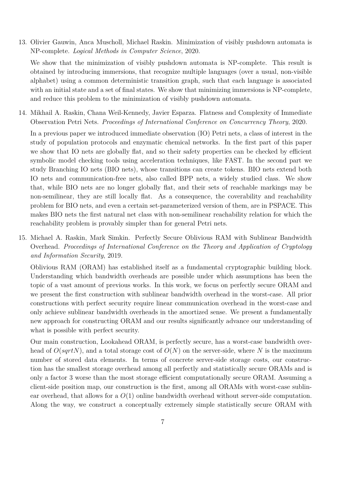13. Olivier Gauwin, Anca Muscholl, Michael Raskin. Minimization of visibly pushdown automata is NP-complete. *Logical Methods in Computer Science*, 2020.

We show that the minimization of visibly pushdown automata is NP-complete. This result is obtained by introducing immersions, that recognize multiple languages (over a usual, non-visible alphabet) using a common deterministic transition graph, such that each language is associated with an initial state and a set of final states. We show that minimizing immersions is NP-complete, and reduce this problem to the minimization of visibly pushdown automata.

14. Mikhail A. Raskin, Chana Weil-Kennedy, Javier Esparza. Flatness and Complexity of Immediate Observation Petri Nets. *Proceedings of International Conference on Concurrency Theory*, 2020.

In a previous paper we introduced immediate observation (IO) Petri nets, a class of interest in the study of population protocols and enzymatic chemical networks. In the first part of this paper we show that IO nets are globally flat, and so their safety properties can be checked by efficient symbolic model checking tools using acceleration techniques, like FAST. In the second part we study Branching IO nets (BIO nets), whose transitions can create tokens. BIO nets extend both IO nets and communication-free nets, also called BPP nets, a widely studied class. We show that, while BIO nets are no longer globally flat, and their sets of reachable markings may be non-semilinear, they are still locally flat. As a consequence, the coverability and reachability problem for BIO nets, and even a certain set-parameterized version of them, are in PSPACE. This makes BIO nets the first natural net class with non-semilinear reachability relation for which the reachability problem is provably simpler than for general Petri nets.

15. Michael A. Raskin, Mark Simkin. Perfectly Secure Oblivious RAM with Sublinear Bandwidth Overhead. *Proceedings of International Conference on the Theory and Application of Cryptology and Information Security*, 2019.

Oblivious RAM (ORAM) has established itself as a fundamental cryptographic building block. Understanding which bandwidth overheads are possible under which assumptions has been the topic of a vast amount of previous works. In this work, we focus on perfectly secure ORAM and we present the first construction with sublinear bandwidth overhead in the worst-case. All prior constructions with perfect security require linear communication overhead in the worst-case and only achieve sublinear bandwidth overheads in the amortized sense. We present a fundamentally new approach for constructing ORAM and our results significantly advance our understanding of what is possible with perfect security.

Our main construction, Lookahead ORAM, is perfectly secure, has a worst-case bandwidth overhead of  $O(sqrtN)$ , and a total storage cost of  $O(N)$  on the server-side, where N is the maximum number of stored data elements. In terms of concrete server-side storage costs, our construction has the smallest storage overhead among all perfectly and statistically secure ORAMs and is only a factor 3 worse than the most storage efficient computationally secure ORAM. Assuming a client-side position map, our construction is the first, among all ORAMs with worst-case sublinear overhead, that allows for a *O*(1) online bandwidth overhead without server-side computation. Along the way, we construct a conceptually extremely simple statistically secure ORAM with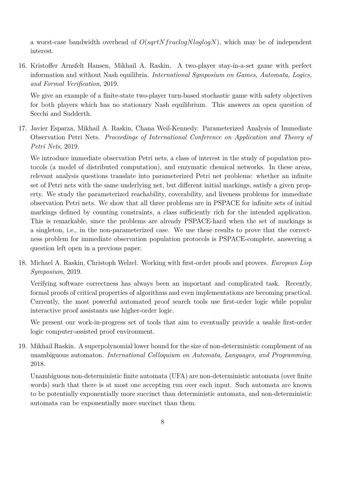a worst-case bandwidth overhead of *O*(*sqrtNfraclogNloglogN*), which may be of independent interest.

16. Kristoffer Arnsfelt Hansen, Mikhail A. Raskin. A two-player stay-in-a-set game with perfect information and without Nash equilibria. *International Symposium on Games, Automata, Logics, and Formal Verification*, 2019.

We give an example of a finite-state two-player turn-based stochastic game with safety objectives for both players which has no stationary Nash equilibrium. This answers an open question of Secchi and Sudderth.

17. Javier Esparza, Mikhail A. Raskin, Chana Weil-Kennedy. Parameterized Analysis of Immediate Observation Petri Nets. *Proceedings of International Conference on Application and Theory of Petri Nets*, 2019.

We introduce immediate observation Petri nets, a class of interest in the study of population protocols (a model of distributed computation), and enzymatic chemical networks. In these areas, relevant analysis questions translate into parameterized Petri net problems: whether an infinite set of Petri nets with the same underlying net, but different initial markings, satisfy a given property. We study the parameterized reachability, coverability, and liveness problems for immediate observation Petri nets. We show that all three problems are in PSPACE for infinite sets of initial markings defined by counting constraints, a class sufficiently rich for the intended application. This is remarkable, since the problems are already PSPACE-hard when the set of markings is a singleton, i.e., in the non-parameterized case. We use these results to prove that the correctness problem for immediate observation population protocols is PSPACE-complete, answering a question left open in a previous paper.

18. Michael A. Raskin, Christoph Welzel. Working with first-order proofs and provers. *European Lisp Symposium*, 2019.

Verifying software correctness has always been an important and complicated task. Recently, formal proofs of critical properties of algorithms and even implementations are becoming practical. Currently, the most powerful automated proof search tools use first-order logic while popular interactive proof assistants use higher-order logic.

We present our work-in-progress set of tools that aim to eventually provide a usable first-order logic computer-assisted proof environment.

19. Mikhail Raskin. A superpolynomial lower bound for the size of non-deterministic complement of an unambiguous automaton. *International Colloquium on Automata, Languages, and Programming*, 2018.

Unambiguous non-deterministic finite automata (UFA) are non-deterministic automata (over finite words) such that there is at most one accepting run over each input. Such automata are known to be potentially exponentially more succinct than deterministic automata, and non-deterministic automata can be exponentially more succinct than them.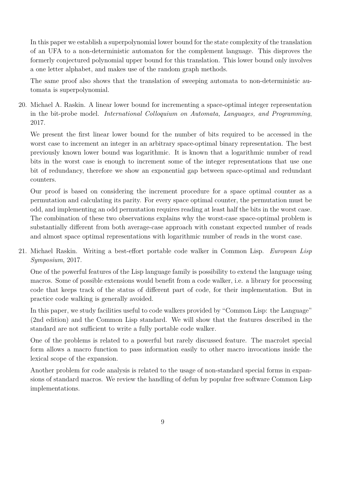In this paper we establish a superpolynomial lower bound for the state complexity of the translation of an UFA to a non-deterministic automaton for the complement language. This disproves the formerly conjectured polynomial upper bound for this translation. This lower bound only involves a one letter alphabet, and makes use of the random graph methods.

The same proof also shows that the translation of sweeping automata to non-deterministic automata is superpolynomial.

20. Michael A. Raskin. A linear lower bound for incrementing a space-optimal integer representation in the bit-probe model. *International Colloquium on Automata, Languages, and Programming*, 2017.

We present the first linear lower bound for the number of bits required to be accessed in the worst case to increment an integer in an arbitrary space-optimal binary representation. The best previously known lower bound was logarithmic. It is known that a logarithmic number of read bits in the worst case is enough to increment some of the integer representations that use one bit of redundancy, therefore we show an exponential gap between space-optimal and redundant counters.

Our proof is based on considering the increment procedure for a space optimal counter as a permutation and calculating its parity. For every space optimal counter, the permutation must be odd, and implementing an odd permutation requires reading at least half the bits in the worst case. The combination of these two observations explains why the worst-case space-optimal problem is substantially different from both average-case approach with constant expected number of reads and almost space optimal representations with logarithmic number of reads in the worst case.

21. Michael Raskin. Writing a best-effort portable code walker in Common Lisp. *European Lisp Symposium*, 2017.

One of the powerful features of the Lisp language family is possibility to extend the language using macros. Some of possible extensions would benefit from a code walker, i.e. a library for processing code that keeps track of the status of different part of code, for their implementation. But in practice code walking is generally avoided.

In this paper, we study facilities useful to code walkers provided by "Common Lisp: the Language" (2nd edition) and the Common Lisp standard. We will show that the features described in the standard are not sufficient to write a fully portable code walker.

One of the problems is related to a powerful but rarely discussed feature. The macrolet special form allows a macro function to pass information easily to other macro invocations inside the lexical scope of the expansion.

Another problem for code analysis is related to the usage of non-standard special forms in expansions of standard macros. We review the handling of defun by popular free software Common Lisp implementations.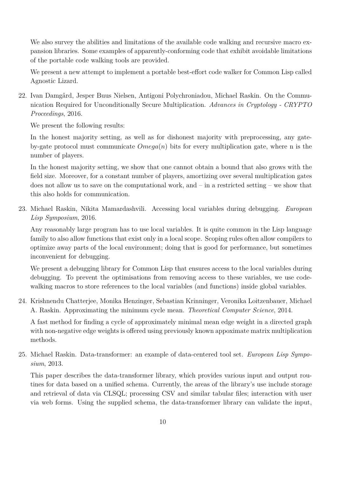We also survey the abilities and limitations of the available code walking and recursive macro expansion libraries. Some examples of apparently-conforming code that exhibit avoidable limitations of the portable code walking tools are provided.

We present a new attempt to implement a portable best-effort code walker for Common Lisp called Agnostic Lizard.

22. Ivan Damgård, Jesper Buus Nielsen, Antigoni Polychroniadou, Michael Raskin. On the Communication Required for Unconditionally Secure Multiplication. *Advances in Cryptology - CRYPTO Proceedings*, 2016.

We present the following results:

In the honest majority setting, as well as for dishonest majority with preprocessing, any gateby-gate protocol must communicate *Omega*(*n*) bits for every multiplication gate, where n is the number of players.

In the honest majority setting, we show that one cannot obtain a bound that also grows with the field size. Moreover, for a constant number of players, amortizing over several multiplication gates does not allow us to save on the computational work, and  $-\text{ in a restricted setting} - \text{we show that}$ this also holds for communication.

23. Michael Raskin, Nikita Mamardashvili. Accessing local variables during debugging. *European Lisp Symposium*, 2016.

Any reasonably large program has to use local variables. It is quite common in the Lisp language family to also allow functions that exist only in a local scope. Scoping rules often allow compilers to optimize away parts of the local environment; doing that is good for performance, but sometimes inconvenient for debugging.

We present a debugging library for Common Lisp that ensures access to the local variables during debugging. To prevent the optimisations from removing access to these variables, we use codewalking macros to store references to the local variables (and functions) inside global variables.

24. Krishnendu Chatterjee, Monika Henzinger, Sebastian Krinninger, Veronika Loitzenbauer, Michael A. Raskin. Approximating the minimum cycle mean. *Theoretical Computer Science*, 2014.

A fast method for finding a cycle of approximately minimal mean edge weight in a directed graph with non-negative edge weights is offered using previously known appoximate matrix multiplication methods.

25. Michael Raskin. Data-transformer: an example of data-centered tool set. *European Lisp Symposium*, 2013.

This paper describes the data-transformer library, which provides various input and output routines for data based on a unified schema. Currently, the areas of the library's use include storage and retrieval of data via CLSQL; processing CSV and similar tabular files; interaction with user via web forms. Using the supplied schema, the data-transformer library can validate the input,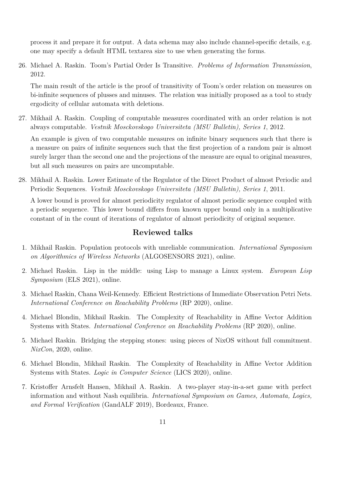process it and prepare it for output. A data schema may also include channel-specific details, e.g. one may specify a default HTML textarea size to use when generating the forms.

26. Michael A. Raskin. Toom's Partial Order Is Transitive. *Problems of Information Transmission*, 2012.

The main result of the article is the proof of transitivity of Toom's order relation on measures on bi-infinite sequences of plusses and minuses. The relation was initially proposed as a tool to study ergodicity of cellular automata with deletions.

27. Mikhail A. Raskin. Coupling of computable measures coordinated with an order relation is not always computable. *Vestnik Mosckovskogo Universiteta (MSU Bulletin), Series 1*, 2012.

An example is given of two computable measures on infinite binary sequences such that there is a measure on pairs of infinite sequences such that the first projection of a random pair is almost surely larger than the second one and the projections of the measure are equal to original measures, but all such measures on pairs are uncomputable.

28. Mikhail A. Raskin. Lower Estimate of the Regulator of the Direct Product of almost Periodic and Periodic Sequences. *Vestnik Mosckovskogo Universiteta (MSU Bulletin), Series 1*, 2011.

A lower bound is proved for almost periodicity regulator of almost periodic sequence coupled with a periodic sequence. This lower bound differs from known upper bound only in a multiplicative constant of in the count of iterations of regulator of almost periodicity of original sequence.

# **Reviewed talks**

- 1. Mikhail Raskin. Population protocols with unreliable communication. *International Symposium on Algorithmics of Wireless Networks* (ALGOSENSORS 2021), online.
- 2. Michael Raskin. Lisp in the middle: using Lisp to manage a Linux system. *European Lisp Symposium* (ELS 2021), online.
- 3. Michael Raskin, Chana Weil-Kennedy. Efficient Restrictions of Immediate Observation Petri Nets. *International Conference on Reachability Problems* (RP 2020), online.
- 4. Michael Blondin, Mikhail Raskin. The Complexity of Reachability in Affine Vector Addition Systems with States. *International Conference on Reachability Problems* (RP 2020), online.
- 5. Michael Raskin. Bridging the stepping stones: using pieces of NixOS without full commitment. *NixCon*, 2020, online.
- 6. Michael Blondin, Mikhail Raskin. The Complexity of Reachability in Affine Vector Addition Systems with States. *Logic in Computer Science* (LICS 2020), online.
- 7. Kristoffer Arnsfelt Hansen, Mikhail A. Raskin. A two-player stay-in-a-set game with perfect information and without Nash equilibria. *International Symposium on Games, Automata, Logics, and Formal Verification* (GandALF 2019), Bordeaux, France.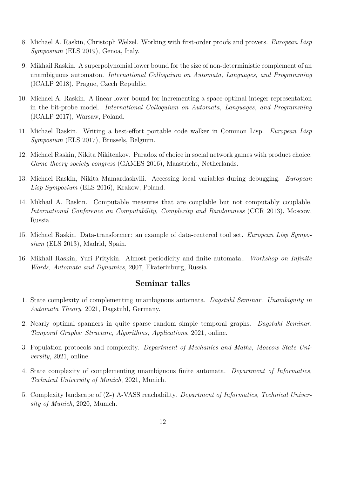- 8. Michael A. Raskin, Christoph Welzel. Working with first-order proofs and provers. *European Lisp Symposium* (ELS 2019), Genoa, Italy.
- 9. Mikhail Raskin. A superpolynomial lower bound for the size of non-deterministic complement of an unambiguous automaton. *International Colloquium on Automata, Languages, and Programming* (ICALP 2018), Prague, Czech Republic.
- 10. Michael A. Raskin. A linear lower bound for incrementing a space-optimal integer representation in the bit-probe model. *International Colloquium on Automata, Languages, and Programming* (ICALP 2017), Warsaw, Poland.
- 11. Michael Raskin. Writing a best-effort portable code walker in Common Lisp. *European Lisp Symposium* (ELS 2017), Brussels, Belgium.
- 12. Michael Raskin, Nikita Nikitenkov. Paradox of choice in social network games with product choice. *Game theory society congress* (GAMES 2016), Maastricht, Netherlands.
- 13. Michael Raskin, Nikita Mamardashvili. Accessing local variables during debugging. *European Lisp Symposium* (ELS 2016), Krakow, Poland.
- 14. Mikhail A. Raskin. Computable measures that are couplable but not computably couplable. *International Conference on Computability, Complexity and Randomness* (CCR 2013), Moscow, Russia.
- 15. Michael Raskin. Data-transformer: an example of data-centered tool set. *European Lisp Symposium* (ELS 2013), Madrid, Spain.
- 16. Mikhail Raskin, Yuri Pritykin. Almost periodicity and finite automata.. *Workshop on Infinite Words, Automata and Dynamics*, 2007, Ekaterinburg, Russia.

#### **Seminar talks**

- 1. State complexity of complementing unambiguous automata. *Dagstuhl Seminar. Unambiguity in Automata Theory*, 2021, Dagstuhl, Germany.
- 2. Nearly optimal spanners in quite sparse random simple temporal graphs. *Dagstuhl Seminar. Temporal Graphs: Structure, Algorithms, Applications*, 2021, online.
- 3. Population protocols and complexity. *Department of Mechanics and Maths, Moscow State University*, 2021, online.
- 4. State complexity of complementing unambiguous finite automata. *Department of Informatics, Technical University of Munich*, 2021, Munich.
- 5. Complexity landscape of (Z-) A-VASS reachability. *Department of Informatics, Technical University of Munich*, 2020, Munich.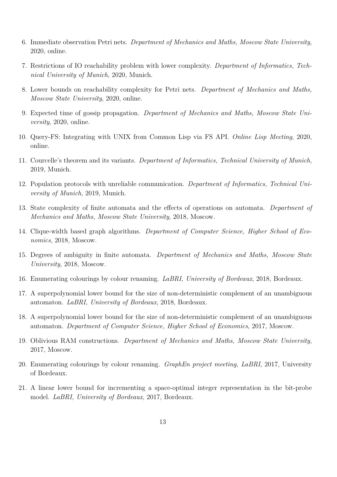- 6. Immediate observation Petri nets. *Department of Mechanics and Maths, Moscow State University*, 2020, online.
- 7. Restrictions of IO reachability problem with lower complexity. *Department of Informatics, Technical University of Munich*, 2020, Munich.
- 8. Lower bounds on reachability complexity for Petri nets. *Department of Mechanics and Maths, Moscow State University*, 2020, online.
- 9. Expected time of gossip propagation. *Department of Mechanics and Maths, Moscow State University*, 2020, online.
- 10. Query-FS: Integrating with UNIX from Common Lisp via FS API. *Online Lisp Meeting*, 2020, online.
- 11. Courcelle's theorem and its variants. *Department of Informatics, Technical University of Munich*, 2019, Munich.
- 12. Population protocols with unreliable communication. *Department of Informatics, Technical University of Munich*, 2019, Munich.
- 13. State complexity of finite automata and the effects of operations on automata. *Department of Mechanics and Maths, Moscow State University*, 2018, Moscow.
- 14. Clique-width based graph algorithms. *Department of Computer Science, Higher School of Economics*, 2018, Moscow.
- 15. Degrees of ambiguity in finite automata. *Department of Mechanics and Maths, Moscow State University*, 2018, Moscow.
- 16. Enumerating colourings by colour renaming. *LaBRI, University of Bordeaux*, 2018, Bordeaux.
- 17. A superpolynomial lower bound for the size of non-deterministic complement of an unambiguous automaton. *LaBRI, University of Bordeaux*, 2018, Bordeaux.
- 18. A superpolynomial lower bound for the size of non-deterministic complement of an unambiguous automaton. *Department of Computer Science, Higher School of Economics*, 2017, Moscow.
- 19. Oblivious RAM constructions. *Department of Mechanics and Maths, Moscow State University*, 2017, Moscow.
- 20. Enumerating colourings by colour renaming. *GraphEn project meeting, LaBRI*, 2017, University of Bordeaux.
- 21. A linear lower bound for incrementing a space-optimal integer representation in the bit-probe model. *LaBRI, University of Bordeaux*, 2017, Bordeaux.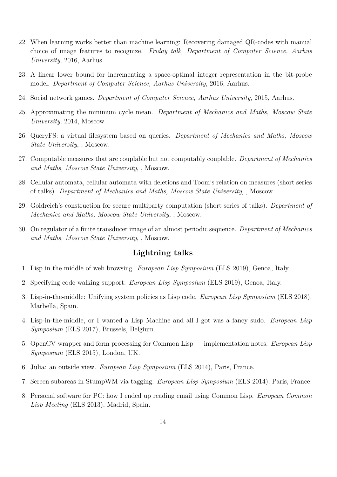- 22. When learning works better than machine learning: Recovering damaged QR-codes with manual choice of image features to recognize. *Friday talk, Department of Computer Science, Aarhus University*, 2016, Aarhus.
- 23. A linear lower bound for incrementing a space-optimal integer representation in the bit-probe model. *Department of Computer Science, Aarhus University*, 2016, Aarhus.
- 24. Social network games. *Department of Computer Science, Aarhus University*, 2015, Aarhus.
- 25. Approximating the minimum cycle mean. *Department of Mechanics and Maths, Moscow State University*, 2014, Moscow.
- 26. QueryFS: a virtual filesystem based on queries. *Department of Mechanics and Maths, Moscow State University*, , Moscow.
- 27. Computable measures that are couplable but not computably couplable. *Department of Mechanics and Maths, Moscow State University*, , Moscow.
- 28. Cellular automata, cellular automata with deletions and Toom's relation on measures (short series of talks). *Department of Mechanics and Maths, Moscow State University*, , Moscow.
- 29. Goldreich's construction for secure multiparty computation (short series of talks). *Department of Mechanics and Maths, Moscow State University*, , Moscow.
- 30. On regulator of a finite transducer image of an almost periodic sequence. *Department of Mechanics and Maths, Moscow State University*, , Moscow.

### **Lightning talks**

- 1. Lisp in the middle of web browsing. *European Lisp Symposium* (ELS 2019), Genoa, Italy.
- 2. Specifying code walking support. *European Lisp Symposium* (ELS 2019), Genoa, Italy.
- 3. Lisp-in-the-middle: Unifying system policies as Lisp code. *European Lisp Symposium* (ELS 2018), Marbella, Spain.
- 4. Lisp-in-the-middle, or I wanted a Lisp Machine and all I got was a fancy sudo. *European Lisp Symposium* (ELS 2017), Brussels, Belgium.
- 5. OpenCV wrapper and form processing for Common Lisp implementation notes. *European Lisp Symposium* (ELS 2015), London, UK.
- 6. Julia: an outside view. *European Lisp Symposium* (ELS 2014), Paris, France.
- 7. Screen subareas in StumpWM via tagging. *European Lisp Symposium* (ELS 2014), Paris, France.
- 8. Personal software for PC: how I ended up reading email using Common Lisp. *European Common Lisp Meeting* (ELS 2013), Madrid, Spain.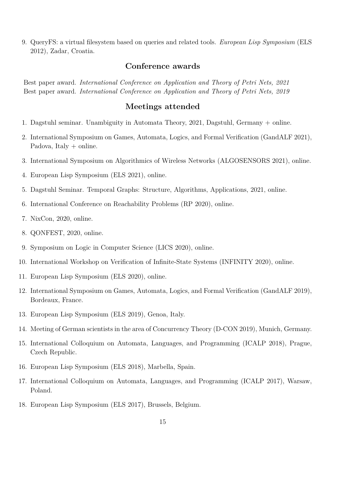9. QueryFS: a virtual filesystem based on queries and related tools. *European Lisp Symposium* (ELS 2012), Zadar, Croatia.

# **Conference awards**

Best paper award. *International Conference on Application and Theory of Petri Nets, 2021* Best paper award. *International Conference on Application and Theory of Petri Nets, 2019*

#### **Meetings attended**

- 1. Dagstuhl seminar. Unambiguity in Automata Theory, 2021, Dagstuhl, Germany + online.
- 2. International Symposium on Games, Automata, Logics, and Formal Verification (GandALF 2021), Padova, Italy + online.
- 3. International Symposium on Algorithmics of Wireless Networks (ALGOSENSORS 2021), online.
- 4. European Lisp Symposium (ELS 2021), online.
- 5. Dagstuhl Seminar. Temporal Graphs: Structure, Algorithms, Applications, 2021, online.
- 6. International Conference on Reachability Problems (RP 2020), online.
- 7. NixCon, 2020, online.
- 8. QONFEST, 2020, online.
- 9. Symposium on Logic in Computer Science (LICS 2020), online.
- 10. International Workshop on Verification of Infinite-State Systems (INFINITY 2020), online.
- 11. European Lisp Symposium (ELS 2020), online.
- 12. International Symposium on Games, Automata, Logics, and Formal Verification (GandALF 2019), Bordeaux, France.
- 13. European Lisp Symposium (ELS 2019), Genoa, Italy.
- 14. Meeting of German scientists in the area of Concurrency Theory (D-CON 2019), Munich, Germany.
- 15. International Colloquium on Automata, Languages, and Programming (ICALP 2018), Prague, Czech Republic.
- 16. European Lisp Symposium (ELS 2018), Marbella, Spain.
- 17. International Colloquium on Automata, Languages, and Programming (ICALP 2017), Warsaw, Poland.
- 18. European Lisp Symposium (ELS 2017), Brussels, Belgium.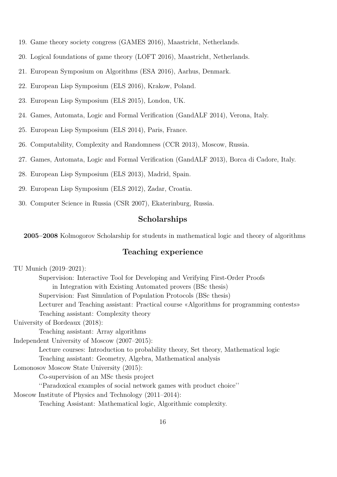- 19. Game theory society congress (GAMES 2016), Maastricht, Netherlands.
- 20. Logical foundations of game theory (LOFT 2016), Maastricht, Netherlands.
- 21. European Symposium on Algorithms (ESA 2016), Aarhus, Denmark.
- 22. European Lisp Symposium (ELS 2016), Krakow, Poland.
- 23. European Lisp Symposium (ELS 2015), London, UK.
- 24. Games, Automata, Logic and Formal Verification (GandALF 2014), Verona, Italy.
- 25. European Lisp Symposium (ELS 2014), Paris, France.
- 26. Computability, Complexity and Randomness (CCR 2013), Moscow, Russia.
- 27. Games, Automata, Logic and Formal Verification (GandALF 2013), Borca di Cadore, Italy.
- 28. European Lisp Symposium (ELS 2013), Madrid, Spain.
- 29. European Lisp Symposium (ELS 2012), Zadar, Croatia.
- 30. Computer Science in Russia (CSR 2007), Ekaterinburg, Russia.

#### **Scholarships**

**2005–2008** Kolmogorov Scholarship for students in mathematical logic and theory of algorithms

# **Teaching experience**

| TU Munich (2019–2021):                                                                  |
|-----------------------------------------------------------------------------------------|
| Supervision: Interactive Tool for Developing and Verifying First-Order Proofs           |
| in Integration with Existing Automated provers (BSc thesis)                             |
| Supervision: Fast Simulation of Population Protocols (BSc thesis)                       |
| Lecturer and Teaching assistant: Practical course «Algorithms for programming contests» |
| Teaching assistant: Complexity theory                                                   |
| University of Bordeaux (2018):                                                          |
| Teaching assistant: Array algorithms                                                    |
| Independent University of Moscow (2007–2015):                                           |
| Lecture courses: Introduction to probability theory, Set theory, Mathematical logic     |
| Teaching assistant: Geometry, Algebra, Mathematical analysis                            |
| Lomonosov Moscow State University (2015):                                               |
| Co-supervision of an MSc thesis project                                                 |
| "Paradoxical examples of social network games with product choice"                      |
| Moscow Institute of Physics and Technology $(2011-2014)$ :                              |
| Teaching Assistant: Mathematical logic, Algorithmic complexity.                         |
| 16                                                                                      |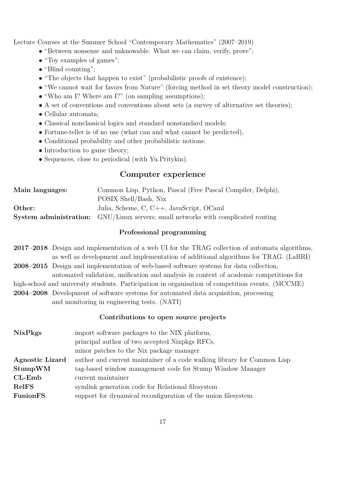Lecture Courses at the Summer School "Contemporary Mathematics" (2007–2019)

- "Between nonsense and unknowable. What we can claim, verify, prove";
- "Toy examples of games":
- "Blind counting";
- "The objects that happen to exist" (probabilistic proofs of existence);
- "We cannot wait for favors from Nature" (forcing method in set theory model construction);
- "Who am I? Where am I?" (on sampling assumptions);
- A set of conventions and conventions about sets (a survey of alternative set theories);
- *•* Cellular automata;
- *•* Classical nonclassical logics and standard nonstandard models;
- Fortune-teller is of no use (what can and what cannot be predicted),
- Conditional probability and other probabilistic notions;
- Introduction to game theory;
- *•* Sequences, close to periodical (with Yu.Pritykin).

# **Computer experience**

| Main languages: | Common Lisp, Python, Pascal (Free Pascal Compiler, Delphi),                              |
|-----------------|------------------------------------------------------------------------------------------|
|                 | POSIX Shell/Bash, Nix                                                                    |
| Other:          | Julia, Scheme, C, C++, JavaScript, OCaml                                                 |
|                 | <b>System administration:</b> GNU/Linux servers; small networks with complicated routing |

#### **Professional programming**

- **2017–2018** Design and implementation of a web UI for the TRAG collection of automata algorithms, as well as development and implementation of additional algorithms for TRAG. (LaBRI)
- **2008–2015** Design and implementation of web-based software systems for data collection, automated validation, unification and analysis in context of academic competitions for
- high-school and university students. Participation in organisation of competition events. (MCCME)
- **2004–2008** Development of software systems for automated data acquisition, processing
	- and monitoring in engineering tests. (NATI)

#### **Contributions to open source projects**

| <b>NixPkgs</b>         | import software packages to the NIX platform,                           |
|------------------------|-------------------------------------------------------------------------|
|                        | principal author of two accepted Nixpkgs RFCs,                          |
|                        | minor patches to the Nix package manager                                |
| <b>Agnostic Lizard</b> | author and current maintainer of a code walking library for Common Lisp |
| StumpWM                | tag-based window management code for Stump Window Manager               |
| $CL$ -Emb              | current maintainer                                                      |
| RelFS                  | symlink generation code for Relational filesystem                       |
| <b>FunionFS</b>        | support for dynamical reconfiguration of the union filesystem           |